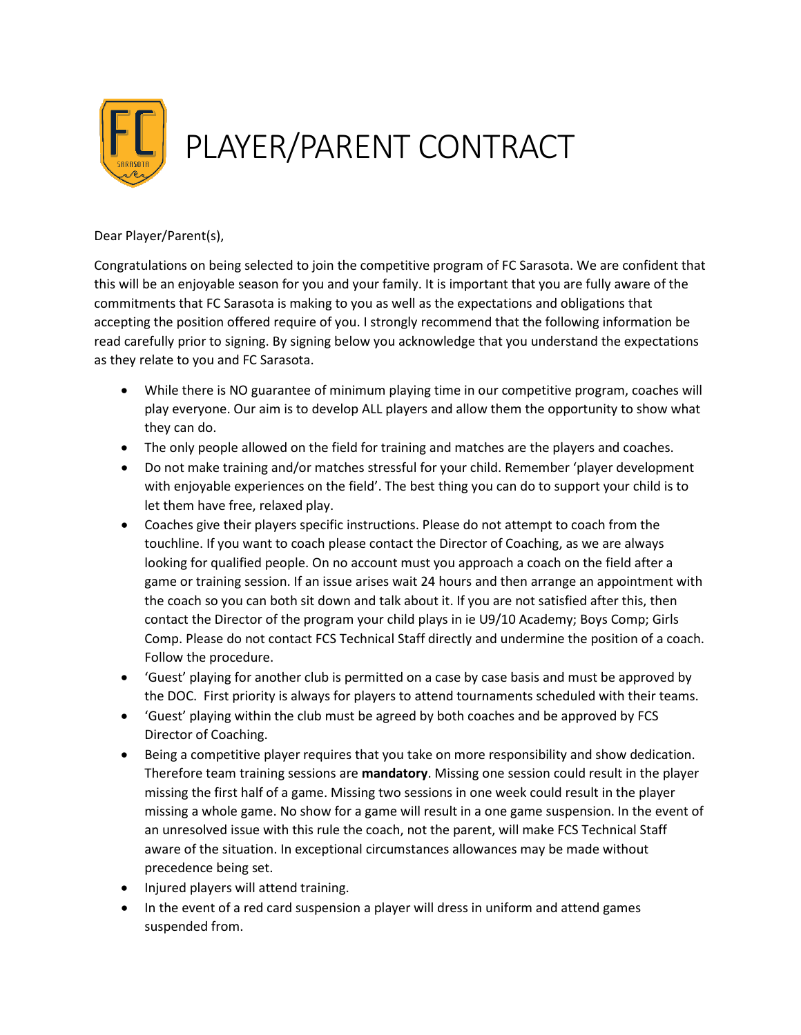

## Dear Player/Parent(s),

Congratulations on being selected to join the competitive program of FC Sarasota. We are confident that this will be an enjoyable season for you and your family. It is important that you are fully aware of the commitments that FC Sarasota is making to you as well as the expectations and obligations that accepting the position offered require of you. I strongly recommend that the following information be read carefully prior to signing. By signing below you acknowledge that you understand the expectations as they relate to you and FC Sarasota.

- While there is NO guarantee of minimum playing time in our competitive program, coaches will play everyone. Our aim is to develop ALL players and allow them the opportunity to show what they can do.
- The only people allowed on the field for training and matches are the players and coaches.
- Do not make training and/or matches stressful for your child. Remember 'player development with enjoyable experiences on the field'. The best thing you can do to support your child is to let them have free, relaxed play.
- Coaches give their players specific instructions. Please do not attempt to coach from the touchline. If you want to coach please contact the Director of Coaching, as we are always looking for qualified people. On no account must you approach a coach on the field after a game or training session. If an issue arises wait 24 hours and then arrange an appointment with the coach so you can both sit down and talk about it. If you are not satisfied after this, then contact the Director of the program your child plays in ie U9/10 Academy; Boys Comp; Girls Comp. Please do not contact FCS Technical Staff directly and undermine the position of a coach. Follow the procedure.
- 'Guest' playing for another club is permitted on a case by case basis and must be approved by the DOC. First priority is always for players to attend tournaments scheduled with their teams.
- 'Guest' playing within the club must be agreed by both coaches and be approved by FCS Director of Coaching.
- Being a competitive player requires that you take on more responsibility and show dedication. Therefore team training sessions are **mandatory**. Missing one session could result in the player missing the first half of a game. Missing two sessions in one week could result in the player missing a whole game. No show for a game will result in a one game suspension. In the event of an unresolved issue with this rule the coach, not the parent, will make FCS Technical Staff aware of the situation. In exceptional circumstances allowances may be made without precedence being set.
- Injured players will attend training.
- In the event of a red card suspension a player will dress in uniform and attend games suspended from.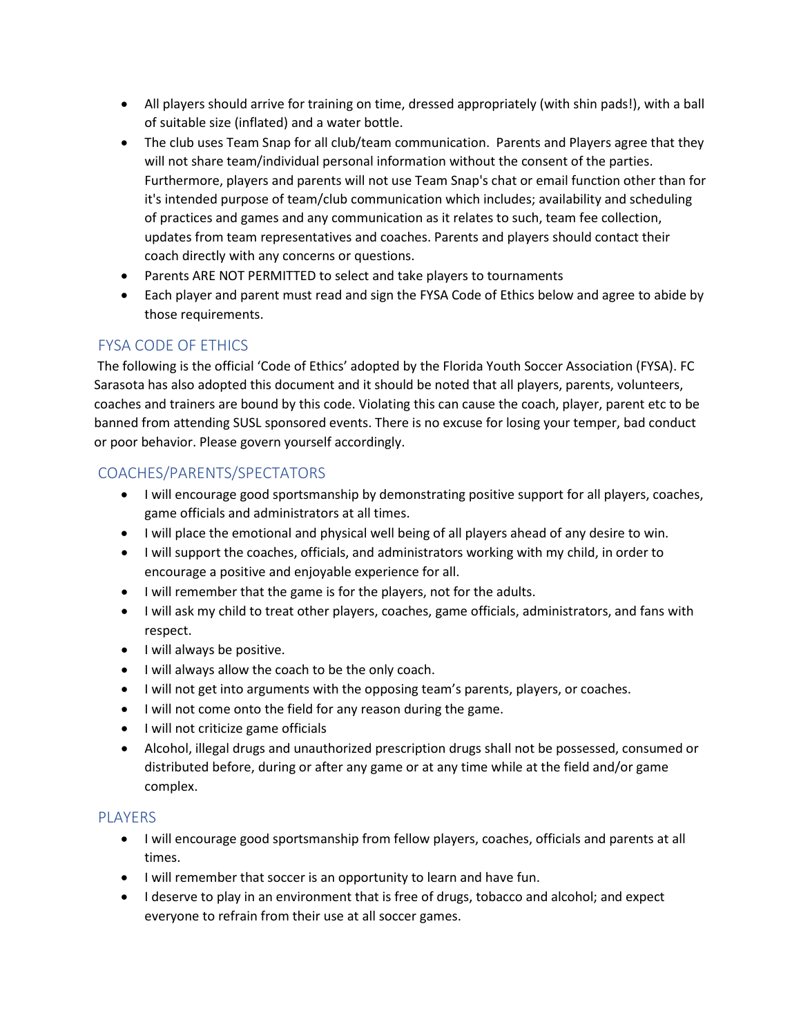- All players should arrive for training on time, dressed appropriately (with shin pads!), with a ball of suitable size (inflated) and a water bottle.
- The club uses Team Snap for all club/team communication. Parents and Players agree that they will not share team/individual personal information without the consent of the parties. Furthermore, players and parents will not use Team Snap's chat or email function other than for it's intended purpose of team/club communication which includes; availability and scheduling of practices and games and any communication as it relates to such, team fee collection, updates from team representatives and coaches. Parents and players should contact their coach directly with any concerns or questions.
- Parents ARE NOT PERMITTED to select and take players to tournaments
- Each player and parent must read and sign the FYSA Code of Ethics below and agree to abide by those requirements.

## FYSA CODE OF ETHICS

The following is the official 'Code of Ethics' adopted by the Florida Youth Soccer Association (FYSA). FC Sarasota has also adopted this document and it should be noted that all players, parents, volunteers, coaches and trainers are bound by this code. Violating this can cause the coach, player, parent etc to be banned from attending SUSL sponsored events. There is no excuse for losing your temper, bad conduct or poor behavior. Please govern yourself accordingly.

## COACHES/PARENTS/SPECTATORS

- I will encourage good sportsmanship by demonstrating positive support for all players, coaches, game officials and administrators at all times.
- I will place the emotional and physical well being of all players ahead of any desire to win.
- I will support the coaches, officials, and administrators working with my child, in order to encourage a positive and enjoyable experience for all.
- I will remember that the game is for the players, not for the adults.
- I will ask my child to treat other players, coaches, game officials, administrators, and fans with respect.
- I will always be positive.
- I will always allow the coach to be the only coach.
- I will not get into arguments with the opposing team's parents, players, or coaches.
- I will not come onto the field for any reason during the game.
- I will not criticize game officials
- Alcohol, illegal drugs and unauthorized prescription drugs shall not be possessed, consumed or distributed before, during or after any game or at any time while at the field and/or game complex.

## PLAYERS

- I will encourage good sportsmanship from fellow players, coaches, officials and parents at all times.
- I will remember that soccer is an opportunity to learn and have fun.
- I deserve to play in an environment that is free of drugs, tobacco and alcohol; and expect everyone to refrain from their use at all soccer games.